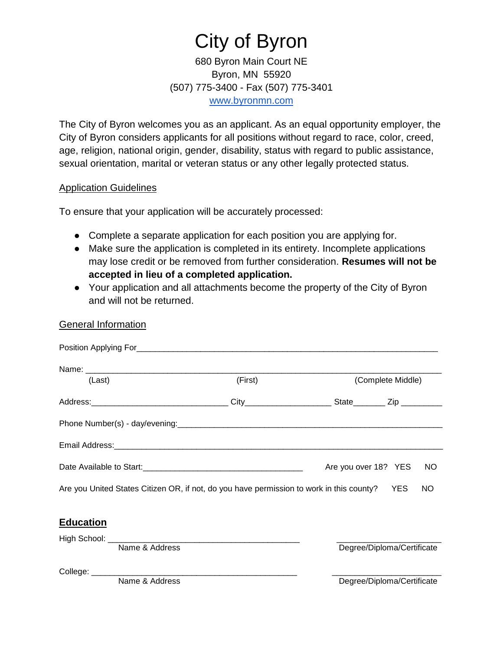# City of Byron

680 Byron Main Court NE Byron, MN 55920 (507) 775-3400 - Fax (507) 775-3401 [www.byronmn.com](http://www.byronmn.com/)

The City of Byron welcomes you as an applicant. As an equal opportunity employer, the City of Byron considers applicants for all positions without regard to race, color, creed, age, religion, national origin, gender, disability, status with regard to public assistance, sexual orientation, marital or veteran status or any other legally protected status.

### Application Guidelines

To ensure that your application will be accurately processed:

- Complete a separate application for each position you are applying for.
- Make sure the application is completed in its entirety. Incomplete applications may lose credit or be removed from further consideration. **Resumes will not be accepted in lieu of a completed application.**
- Your application and all attachments become the property of the City of Byron and will not be returned.

## General Information

| (Last)           |                | (First)                                                                                      |                      | (Complete Middle)          |
|------------------|----------------|----------------------------------------------------------------------------------------------|----------------------|----------------------------|
|                  |                |                                                                                              |                      |                            |
|                  |                |                                                                                              |                      |                            |
|                  |                |                                                                                              |                      |                            |
|                  |                |                                                                                              | Are you over 18? YES | <b>NO</b>                  |
|                  |                | Are you United States Citizen OR, if not, do you have permission to work in this county? YES |                      | NO.                        |
| <b>Education</b> |                |                                                                                              |                      |                            |
|                  |                |                                                                                              |                      |                            |
|                  | Name & Address |                                                                                              |                      | Degree/Diploma/Certificate |
|                  |                |                                                                                              |                      |                            |
|                  | Name & Address |                                                                                              |                      | Degree/Diploma/Certificate |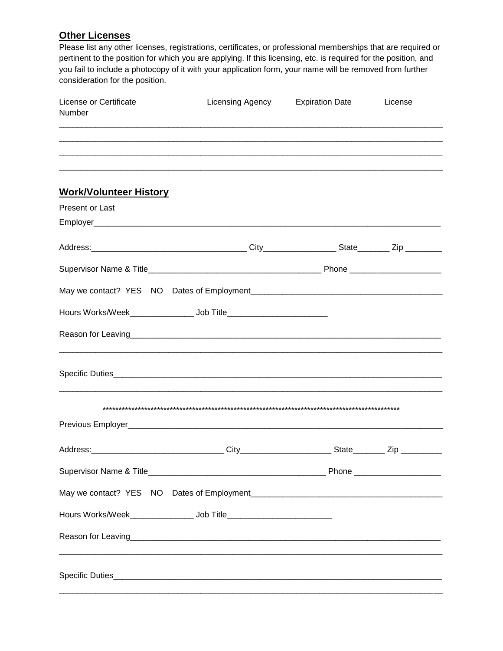## **Other Licenses**

Please list any other licenses, registrations, certificates, or professional memberships that are required or pertinent to the position for which you are applying. If this licensing, etc. is required for the position, and you fail to include a photocopy of it with your application form, your name will be removed from further consideration for the position.

| License or Certificate<br>Number                                                                                         | Licensing Agency | <b>Expiration Date</b> | License |
|--------------------------------------------------------------------------------------------------------------------------|------------------|------------------------|---------|
|                                                                                                                          |                  |                        |         |
| <b>Work/Volunteer History</b>                                                                                            |                  |                        |         |
| Present or Last                                                                                                          |                  |                        |         |
|                                                                                                                          |                  |                        |         |
|                                                                                                                          |                  |                        |         |
|                                                                                                                          |                  |                        |         |
| Hours Works/Week___________________ Job Title___________________________________                                         |                  |                        |         |
| Reason for Leaving <u>entitled and a series of the series of the series of the series of the series of the series of</u> |                  |                        |         |
|                                                                                                                          |                  |                        |         |
|                                                                                                                          |                  |                        |         |
|                                                                                                                          |                  |                        |         |
|                                                                                                                          |                  |                        |         |
|                                                                                                                          |                  |                        |         |
|                                                                                                                          |                  |                        |         |
| Hours Works/Week________________________ Job Title______________________________                                         |                  |                        |         |
| Reason for Leaving <u>Commission Commission and Commission Commission and Commission and Commission and Commission</u>   |                  |                        |         |
|                                                                                                                          |                  |                        |         |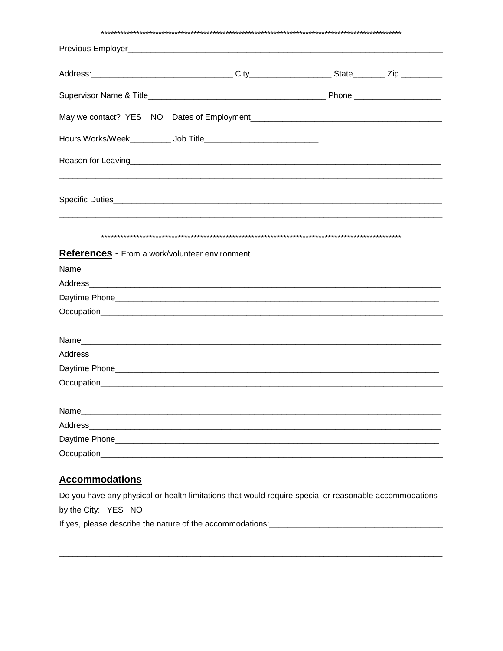| Reason for Leaving <b>Example 2018</b> Reason for Leaving 2018 and 2019 and 2019 and 2019 and 2019 and 2019 and 2019 |  |  |
|----------------------------------------------------------------------------------------------------------------------|--|--|
|                                                                                                                      |  |  |
|                                                                                                                      |  |  |
| References - From a work/volunteer environment.                                                                      |  |  |
|                                                                                                                      |  |  |
|                                                                                                                      |  |  |
|                                                                                                                      |  |  |
|                                                                                                                      |  |  |
|                                                                                                                      |  |  |
|                                                                                                                      |  |  |
|                                                                                                                      |  |  |
|                                                                                                                      |  |  |
| Name<br>Address                                                                                                      |  |  |

## **Accommodations**

Do you have any physical or health limitations that would require special or reasonable accommodations by the City: YES NO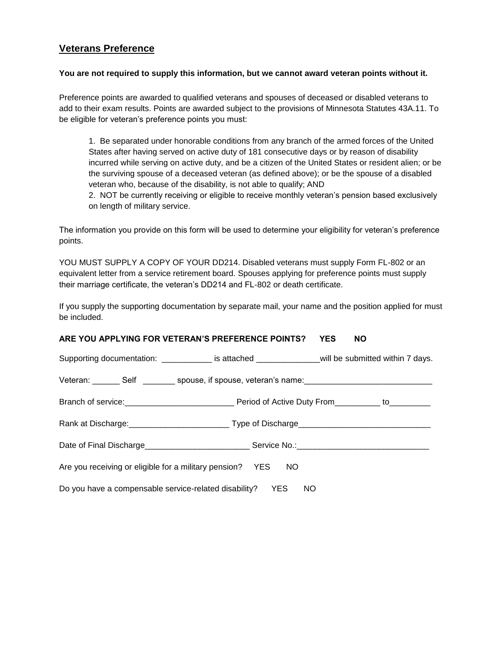## **Veterans Preference**

#### **You are not required to supply this information, but we cannot award veteran points without it.**

Preference points are awarded to qualified veterans and spouses of deceased or disabled veterans to add to their exam results. Points are awarded subject to the provisions of Minnesota Statutes 43A.11. To be eligible for veteran's preference points you must:

1. Be separated under honorable conditions from any branch of the armed forces of the United States after having served on active duty of 181 consecutive days or by reason of disability incurred while serving on active duty, and be a citizen of the United States or resident alien; or be the surviving spouse of a deceased veteran (as defined above); or be the spouse of a disabled veteran who, because of the disability, is not able to qualify; AND

2. NOT be currently receiving or eligible to receive monthly veteran's pension based exclusively on length of military service.

The information you provide on this form will be used to determine your eligibility for veteran's preference points.

YOU MUST SUPPLY A COPY OF YOUR DD214. Disabled veterans must supply Form FL-802 or an equivalent letter from a service retirement board. Spouses applying for preference points must supply their marriage certificate, the veteran's DD214 and FL-802 or death certificate.

If you supply the supporting documentation by separate mail, your name and the position applied for must be included.

#### **ARE YOU APPLYING FOR VETERAN'S PREFERENCE POINTS? YES NO**

|                                                                | Supporting documentation: ______________ is attached __________________will be submitted within 7 days. |  |
|----------------------------------------------------------------|---------------------------------------------------------------------------------------------------------|--|
|                                                                | Veteran: ________ Self _________ spouse, if spouse, veteran's name: ________________________________    |  |
|                                                                |                                                                                                         |  |
|                                                                |                                                                                                         |  |
|                                                                |                                                                                                         |  |
| Are you receiving or eligible for a military pension? YES NO   |                                                                                                         |  |
| Do you have a compensable service-related disability?  YES  NO |                                                                                                         |  |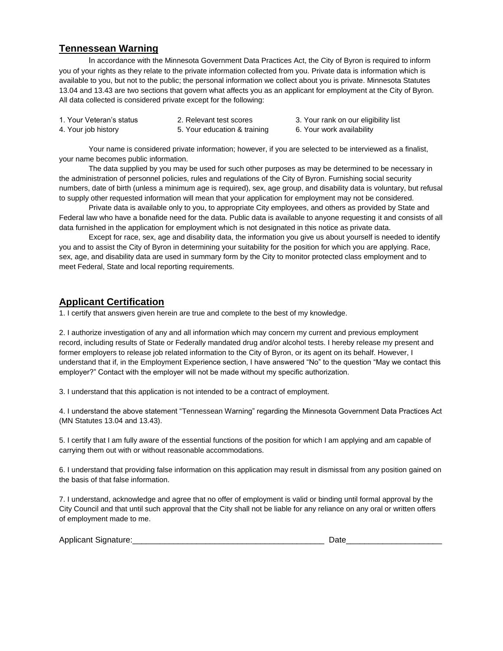## **Tennessean Warning**

In accordance with the Minnesota Government Data Practices Act, the City of Byron is required to inform you of your rights as they relate to the private information collected from you. Private data is information which is available to you, but not to the public; the personal information we collect about you is private. Minnesota Statutes 13.04 and 13.43 are two sections that govern what affects you as an applicant for employment at the City of Byron. All data collected is considered private except for the following:

| 1. Your Veteran's status | 2. Relevant test scores      |
|--------------------------|------------------------------|
| 4. Your iob history      | 5. Your education & training |

- 3. Your rank on our eligibility list
- 6. Your work availability

Your name is considered private information; however, if you are selected to be interviewed as a finalist, your name becomes public information.

 The data supplied by you may be used for such other purposes as may be determined to be necessary in the administration of personnel policies, rules and regulations of the City of Byron. Furnishing social security numbers, date of birth (unless a minimum age is required), sex, age group, and disability data is voluntary, but refusal to supply other requested information will mean that your application for employment may not be considered.

 Private data is available only to you, to appropriate City employees, and others as provided by State and Federal law who have a bonafide need for the data. Public data is available to anyone requesting it and consists of all data furnished in the application for employment which is not designated in this notice as private data.

 Except for race, sex, age and disability data, the information you give us about yourself is needed to identify you and to assist the City of Byron in determining your suitability for the position for which you are applying. Race, sex, age, and disability data are used in summary form by the City to monitor protected class employment and to meet Federal, State and local reporting requirements.

## **Applicant Certification**

1. I certify that answers given herein are true and complete to the best of my knowledge.

2. I authorize investigation of any and all information which may concern my current and previous employment record, including results of State or Federally mandated drug and/or alcohol tests. I hereby release my present and former employers to release job related information to the City of Byron, or its agent on its behalf. However, I understand that if, in the Employment Experience section, I have answered "No" to the question "May we contact this employer?" Contact with the employer will not be made without my specific authorization.

3. I understand that this application is not intended to be a contract of employment.

4. I understand the above statement "Tennessean Warning" regarding the Minnesota Government Data Practices Act (MN Statutes 13.04 and 13.43).

5. I certify that I am fully aware of the essential functions of the position for which I am applying and am capable of carrying them out with or without reasonable accommodations.

6. I understand that providing false information on this application may result in dismissal from any position gained on the basis of that false information.

7. I understand, acknowledge and agree that no offer of employment is valid or binding until formal approval by the City Council and that until such approval that the City shall not be liable for any reliance on any oral or written offers of employment made to me.

| Applicant<br>Sidnaftli | )atr<br>້ |
|------------------------|-----------|
|                        |           |